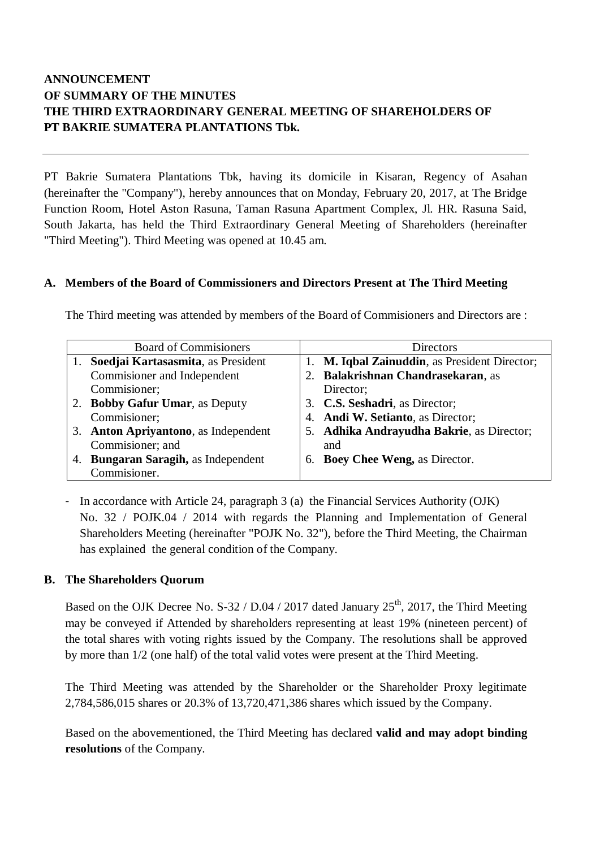# **ANNOUNCEMENT OF SUMMARY OF THE MINUTES THE THIRD EXTRAORDINARY GENERAL MEETING OF SHAREHOLDERS OF PT BAKRIE SUMATERA PLANTATIONS Tbk.**

PT Bakrie Sumatera Plantations Tbk, having its domicile in Kisaran, Regency of Asahan (hereinafter the "Company"), hereby announces that on Monday, February 20, 2017, at The Bridge Function Room, Hotel Aston Rasuna, Taman Rasuna Apartment Complex, Jl. HR. Rasuna Said, South Jakarta, has held the Third Extraordinary General Meeting of Shareholders (hereinafter "Third Meeting"). Third Meeting was opened at 10.45 am.

### **A. Members of the Board of Commissioners and Directors Present at The Third Meeting**

The Third meeting was attended by members of the Board of Commisioners and Directors are :

| <b>Board of Commisioners</b> |                                           | Directors                                     |  |
|------------------------------|-------------------------------------------|-----------------------------------------------|--|
|                              | Soedjai Kartasasmita, as President        | 1. M. Iqbal Zainuddin, as President Director; |  |
|                              | Commisioner and Independent               | 2. Balakrishnan Chandrasekaran, as            |  |
|                              | Commisioner;                              | Director;                                     |  |
|                              | <b>Bobby Gafur Umar, as Deputy</b>        | 3. C.S. Seshadri, as Director;                |  |
|                              | Commisioner;                              | 4. Andi W. Setianto, as Director;             |  |
| 3.                           | <b>Anton Apriyantono</b> , as Independent | 5. Adhika Andrayudha Bakrie, as Director;     |  |
|                              | Commisioner; and                          | and                                           |  |
| 4.                           | Bungaran Saragih, as Independent          | 6. Boey Chee Weng, as Director.               |  |
|                              | Commisioner.                              |                                               |  |

- In accordance with Article 24, paragraph 3 (a) the Financial Services Authority (OJK) No. 32 / POJK.04 / 2014 with regards the Planning and Implementation of General Shareholders Meeting (hereinafter "POJK No. 32"), before the Third Meeting, the Chairman has explained the general condition of the Company.

### **B. The Shareholders Quorum**

Based on the OJK Decree No. S-32 / D.04 / 2017 dated January  $25<sup>th</sup>$ , 2017, the Third Meeting may be conveyed if Attended by shareholders representing at least 19% (nineteen percent) of the total shares with voting rights issued by the Company. The resolutions shall be approved by more than 1/2 (one half) of the total valid votes were present at the Third Meeting.

The Third Meeting was attended by the Shareholder or the Shareholder Proxy legitimate 2,784,586,015 shares or 20.3% of 13,720,471,386 shares which issued by the Company.

Based on the abovementioned, the Third Meeting has declared **valid and may adopt binding resolutions** of the Company.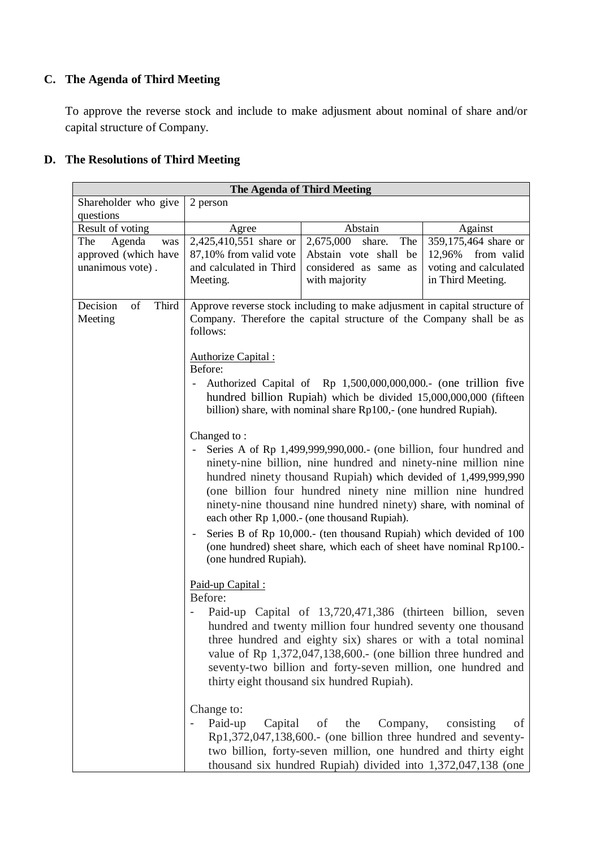## **C. The Agenda of Third Meeting**

To approve the reverse stock and include to make adjusment about nominal of share and/or capital structure of Company.

## **D. The Resolutions of Third Meeting**

| The Agenda of Third Meeting |                                                                                                                                                                |                                                                                                                                           |                       |  |  |  |
|-----------------------------|----------------------------------------------------------------------------------------------------------------------------------------------------------------|-------------------------------------------------------------------------------------------------------------------------------------------|-----------------------|--|--|--|
| Shareholder who give        | 2 person                                                                                                                                                       |                                                                                                                                           |                       |  |  |  |
| questions                   |                                                                                                                                                                |                                                                                                                                           |                       |  |  |  |
| Result of voting            | Agree                                                                                                                                                          | Abstain                                                                                                                                   | Against               |  |  |  |
| Agenda<br>The<br>was        | 2,425,410,551 share or                                                                                                                                         | 2,675,000<br>share.<br>The                                                                                                                | 359,175,464 share or  |  |  |  |
| approved (which have        | 87,10% from valid vote                                                                                                                                         | Abstain vote shall be                                                                                                                     | 12,96%<br>from valid  |  |  |  |
| unanimous vote).            | and calculated in Third                                                                                                                                        | considered as same as                                                                                                                     | voting and calculated |  |  |  |
|                             | Meeting.                                                                                                                                                       | with majority                                                                                                                             | in Third Meeting.     |  |  |  |
|                             |                                                                                                                                                                |                                                                                                                                           |                       |  |  |  |
| Third<br>Decision<br>of     |                                                                                                                                                                | Approve reverse stock including to make adjusment in capital structure of                                                                 |                       |  |  |  |
| Meeting                     | Company. Therefore the capital structure of the Company shall be as                                                                                            |                                                                                                                                           |                       |  |  |  |
|                             | follows:                                                                                                                                                       |                                                                                                                                           |                       |  |  |  |
|                             |                                                                                                                                                                |                                                                                                                                           |                       |  |  |  |
|                             | Authorize Capital:<br>Before:                                                                                                                                  |                                                                                                                                           |                       |  |  |  |
|                             |                                                                                                                                                                |                                                                                                                                           |                       |  |  |  |
|                             | Authorized Capital of Rp 1,500,000,000,000. (one trillion five<br>$\overline{\phantom{a}}$<br>hundred billion Rupiah) which be divided 15,000,000,000 (fifteen |                                                                                                                                           |                       |  |  |  |
|                             |                                                                                                                                                                | billion) share, with nominal share Rp100,- (one hundred Rupiah).                                                                          |                       |  |  |  |
|                             |                                                                                                                                                                |                                                                                                                                           |                       |  |  |  |
|                             | Changed to:                                                                                                                                                    |                                                                                                                                           |                       |  |  |  |
|                             | Series A of Rp 1,499,999,990,000.- (one billion, four hundred and                                                                                              |                                                                                                                                           |                       |  |  |  |
|                             | ninety-nine billion, nine hundred and ninety-nine million nine                                                                                                 |                                                                                                                                           |                       |  |  |  |
|                             |                                                                                                                                                                | hundred ninety thousand Rupiah) which devided of 1,499,999,990                                                                            |                       |  |  |  |
|                             |                                                                                                                                                                | (one billion four hundred ninety nine million nine hundred                                                                                |                       |  |  |  |
|                             |                                                                                                                                                                | ninety-nine thousand nine hundred ninety) share, with nominal of                                                                          |                       |  |  |  |
|                             |                                                                                                                                                                | each other Rp 1,000 .- (one thousand Rupiah).                                                                                             |                       |  |  |  |
|                             |                                                                                                                                                                |                                                                                                                                           |                       |  |  |  |
|                             | $\overline{\phantom{a}}$                                                                                                                                       | Series B of Rp 10,000.- (ten thousand Rupiah) which devided of 100<br>(one hundred) sheet share, which each of sheet have nominal Rp100.- |                       |  |  |  |
|                             | (one hundred Rupiah).                                                                                                                                          |                                                                                                                                           |                       |  |  |  |
|                             |                                                                                                                                                                |                                                                                                                                           |                       |  |  |  |
|                             | Paid-up Capital:                                                                                                                                               |                                                                                                                                           |                       |  |  |  |
|                             | Before:                                                                                                                                                        |                                                                                                                                           |                       |  |  |  |
|                             |                                                                                                                                                                | Paid-up Capital of 13,720,471,386 (thirteen billion, seven                                                                                |                       |  |  |  |
|                             |                                                                                                                                                                | hundred and twenty million four hundred seventy one thousand                                                                              |                       |  |  |  |
|                             |                                                                                                                                                                | three hundred and eighty six) shares or with a total nominal                                                                              |                       |  |  |  |
|                             |                                                                                                                                                                | value of Rp 1,372,047,138,600.- (one billion three hundred and                                                                            |                       |  |  |  |
|                             |                                                                                                                                                                | seventy-two billion and forty-seven million, one hundred and                                                                              |                       |  |  |  |
|                             |                                                                                                                                                                | thirty eight thousand six hundred Rupiah).                                                                                                |                       |  |  |  |
|                             |                                                                                                                                                                |                                                                                                                                           |                       |  |  |  |
|                             |                                                                                                                                                                |                                                                                                                                           |                       |  |  |  |
|                             | Change to:                                                                                                                                                     | of the<br>Company,<br>οf                                                                                                                  |                       |  |  |  |
|                             | Capital<br>Paid-up                                                                                                                                             |                                                                                                                                           | consisting            |  |  |  |
|                             |                                                                                                                                                                | Rp1,372,047,138,600.- (one billion three hundred and seventy-                                                                             |                       |  |  |  |
|                             |                                                                                                                                                                | two billion, forty-seven million, one hundred and thirty eight                                                                            |                       |  |  |  |
|                             |                                                                                                                                                                | thousand six hundred Rupiah) divided into 1,372,047,138 (one                                                                              |                       |  |  |  |